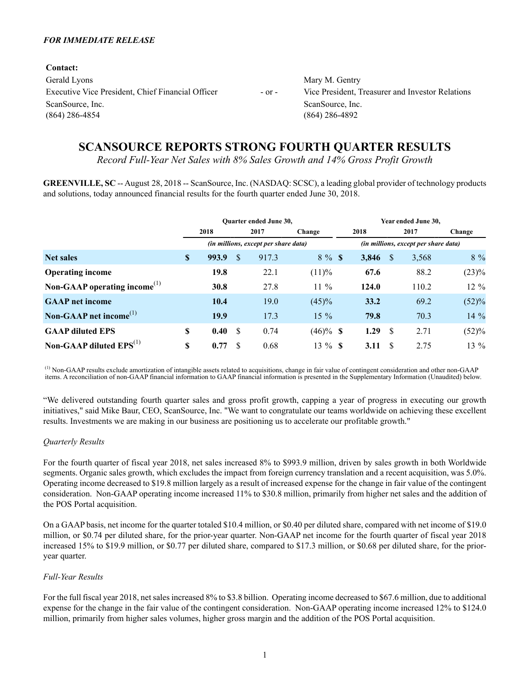## *FOR IMMEDIATE RELEASE*

**Contact:**

|            | Mary M. Gentry                                   |
|------------|--------------------------------------------------|
| $-$ or $-$ | Vice President, Treasurer and Investor Relations |
|            | ScanSource, Inc.                                 |
|            | $(864)$ 286-4892                                 |
|            |                                                  |

# **SCANSOURCE REPORTS STRONG FOURTH QUARTER RESULTS**

*Record Full-Year Net Sales with 8% Sales Growth and 14% Gross Profit Growth*

**GREENVILLE, SC** -- August 28, 2018 -- ScanSource, Inc. (NASDAQ: SCSC), a leading global provider of technology products and solutions, today announced financial results for the fourth quarter ended June 30, 2018.

|                                                       | <b>Ouarter ended June 30,</b>        |               |       |             |                                             | Year ended June 30, |      |       |          |  |  |  |
|-------------------------------------------------------|--------------------------------------|---------------|-------|-------------|---------------------------------------------|---------------------|------|-------|----------|--|--|--|
|                                                       | 2018                                 |               | 2017  | Change      |                                             | 2018<br>2017        |      |       | Change   |  |  |  |
|                                                       | (in millions, except per share data) |               |       |             | <i>(in millions, except per share data)</i> |                     |      |       |          |  |  |  |
| <b>Net sales</b>                                      | \$<br>993.9                          | <sup>\$</sup> | 917.3 | $8\%$ \$    |                                             | 3,846               | - \$ | 3,568 | 8 %      |  |  |  |
| <b>Operating income</b>                               | 19.8                                 |               | 22.1  | (11)%       |                                             | 67.6                |      | 88.2  | $(23)\%$ |  |  |  |
| Non-GAAP operating income <sup><math>(1)</math></sup> | 30.8                                 |               | 27.8  | $11\%$      |                                             | 124.0               |      | 110.2 | 12 %     |  |  |  |
| <b>GAAP</b> net income                                | 10.4                                 |               | 19.0  | (45)%       |                                             | 33.2                |      | 69.2  | (52)%    |  |  |  |
| Non-GAAP net income <sup>(1)</sup>                    | 19.9                                 |               | 17.3  | $15\%$      |                                             | 79.8                |      | 70.3  | 14 %     |  |  |  |
| <b>GAAP diluted EPS</b>                               | \$<br>0.40                           | - S           | 0.74  | $(46)\%$ \$ |                                             | 1.29                | - \$ | 2.71  | (52)%    |  |  |  |
| Non-GAAP diluted $EPS^{(1)}$                          | \$<br>0.77                           | -S            | 0.68  | $13\%$ \$   |                                             | 3.11                |      | 2.75  | 13 %     |  |  |  |

(1) Non-GAAP results exclude amortization of intangible assets related to acquisitions, change in fair value of contingent consideration and other non-GAAP items. A reconciliation of non-GAAP financial information to GAAP financial information is presented in the Supplementary Information (Unaudited) below.

"We delivered outstanding fourth quarter sales and gross profit growth, capping a year of progress in executing our growth initiatives," said Mike Baur, CEO, ScanSource, Inc. "We want to congratulate our teams worldwide on achieving these excellent results. Investments we are making in our business are positioning us to accelerate our profitable growth."

## *Quarterly Results*

For the fourth quarter of fiscal year 2018, net sales increased 8% to \$993.9 million, driven by sales growth in both Worldwide segments. Organic sales growth, which excludes the impact from foreign currency translation and a recent acquisition, was 5.0%. Operating income decreased to \$19.8 million largely as a result of increased expense for the change in fair value of the contingent consideration. Non-GAAPoperating income increased 11% to \$30.8 million, primarily from higher net sales and the addition of the POS Portal acquisition.

On a GAAPbasis, net income for the quarter totaled \$10.4 million, or \$0.40 per diluted share, compared with net income of \$19.0 million, or \$0.74 per diluted share, for the prior-year quarter. Non-GAAP net income for the fourth quarter of fiscal year 2018 increased 15% to \$19.9 million, or \$0.77 per diluted share, compared to \$17.3 million, or \$0.68 per diluted share, for the prioryear quarter.

#### *Full-Year Results*

For the full fiscal year 2018, net sales increased 8% to \$3.8 billion. Operating income decreased to \$67.6 million, due to additional expense for the change in the fair value of the contingent consideration. Non-GAAP operating income increased 12% to \$124.0 million, primarily from higher sales volumes, higher gross margin and the addition of the POS Portal acquisition.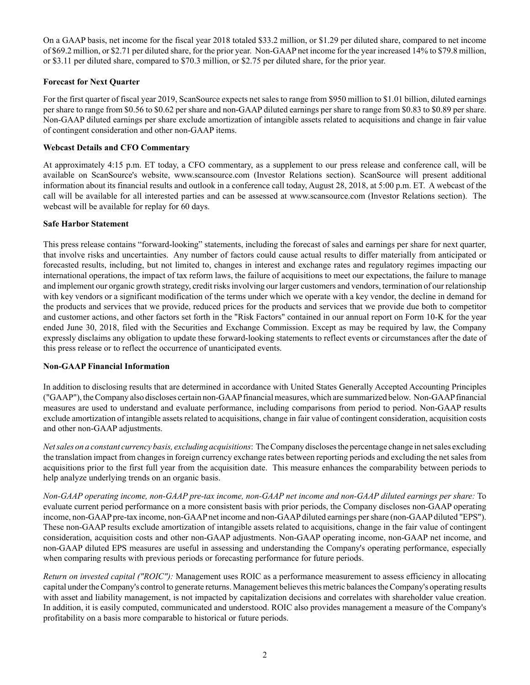On a GAAP basis, net income for the fiscal year 2018 totaled \$33.2 million, or \$1.29 per diluted share, compared to net income of \$69.2 million, or \$2.71 per diluted share, for the prior year. Non-GAAPnet income for the year increased 14% to \$79.8 million, or \$3.11 per diluted share, compared to \$70.3 million, or \$2.75 per diluted share, for the prior year.

## **Forecast for Next Quarter**

For the first quarter of fiscal year 2019, ScanSource expects net sales to range from \$950 million to \$1.01 billion, diluted earnings per share to range from \$0.56 to \$0.62 per share and non-GAAPdiluted earnings per share to range from \$0.83 to \$0.89 per share. Non-GAAP diluted earnings per share exclude amortization of intangible assets related to acquisitions and change in fair value of contingent consideration and other non-GAAP items.

## **Webcast Details and CFO Commentary**

At approximately 4:15 p.m. ET today, a CFO commentary, as a supplement to our press release and conference call, will be available on ScanSource's website, www.scansource.com (Investor Relations section). ScanSource will present additional information about its financial results and outlook in a conference call today, August 28, 2018, at 5:00 p.m. ET. A webcast of the call will be available for all interested parties and can be assessed at www.scansource.com (Investor Relations section). The webcast will be available for replay for 60 days.

## **Safe Harbor Statement**

This press release contains "forward-looking" statements, including the forecast of sales and earnings per share for next quarter, that involve risks and uncertainties. Any number of factors could cause actual results to differ materially from anticipated or forecasted results, including, but not limited to, changes in interest and exchange rates and regulatory regimes impacting our international operations, the impact of tax reform laws, the failure of acquisitions to meet our expectations, the failure to manage and implement our organic growth strategy, credit risks involving our larger customers and vendors, termination of our relationship with key vendors or a significant modification of the terms under which we operate with a key vendor, the decline in demand for the products and services that we provide, reduced prices for the products and services that we provide due both to competitor and customer actions, and other factors set forth in the "Risk Factors" contained in our annual report on Form 10-K for the year ended June 30, 2018, filed with the Securities and Exchange Commission. Except as may be required by law, the Company expressly disclaims any obligation to update these forward-looking statements to reflect events or circumstances after the date of this press release or to reflect the occurrence of unanticipated events.

## **Non-GAAP Financial Information**

In addition to disclosing results that are determined in accordance with United States Generally Accepted Accounting Principles ("GAAP"), the Company also discloses certain non-GAAPfinancial measures, which are summarized below. Non-GAAPfinancial measures are used to understand and evaluate performance, including comparisons from period to period. Non-GAAP results exclude amortization of intangible assets related to acquisitions, change in fair value of contingent consideration, acquisition costs and other non-GAAP adjustments.

*Net sales on a constant currency basis, excluding acquisitions*: The Company discloses the percentage change in net sales excluding the translation impact from changes in foreign currency exchange rates between reporting periods and excluding the net sales from acquisitions prior to the first full year from the acquisition date. This measure enhances the comparability between periods to help analyze underlying trends on an organic basis.

*Non-GAAP operating income, non-GAAP pre-tax income, non-GAAP net income and non-GAAP diluted earnings per share:* To evaluate current period performance on a more consistent basis with prior periods, the Company discloses non-GAAP operating income, non-GAAP pre-tax income, non-GAAP net income and non-GAAP diluted earnings per share (non-GAAP diluted "EPS"). These non-GAAP results exclude amortization of intangible assets related to acquisitions, change in the fair value of contingent consideration, acquisition costs and other non-GAAP adjustments. Non-GAAP operating income, non-GAAP net income, and non-GAAP diluted EPS measures are useful in assessing and understanding the Company's operating performance, especially when comparing results with previous periods or forecasting performance for future periods.

*Return on invested capital ("ROIC"):* Management uses ROIC as a performance measurement to assess efficiency in allocating capital under the Company's control to generate returns. Management believes this metric balances the Company's operating results with asset and liability management, is not impacted by capitalization decisions and correlates with shareholder value creation. In addition, it is easily computed, communicated and understood. ROIC also provides management a measure of the Company's profitability on a basis more comparable to historical or future periods.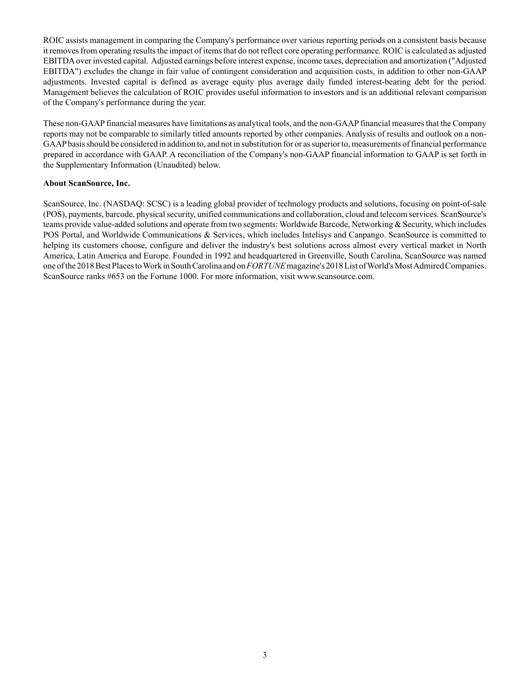ROIC assists management in comparing the Company's performance over various reporting periods on a consistent basis because it removes from operating results the impact of items that do not reflect core operating performance. ROIC is calculated as adjusted EBITDAover invested capital. Adjusted earnings before interest expense, income taxes, depreciation and amortization ("Adjusted EBITDA") excludes the change in fair value of contingent consideration and acquisition costs, in addition to other non-GAAP adjustments. Invested capital is defined as average equity plus average daily funded interest-bearing debt for the period. Management believes the calculation of ROIC provides useful information to investors and is an additional relevant comparison of the Company's performance during the year.

These non-GAAPfinancial measures have limitations as analytical tools, and the non-GAAPfinancial measures that the Company reports may not be comparable to similarly titled amounts reported by other companies. Analysis of results and outlook on a non-GAAPbasis should be considered in addition to, and not in substitution for or as superior to, measurements of financial performance prepared in accordance with GAAP. A reconciliation of the Company's non-GAAP financial information to GAAP is set forth in the Supplementary Information (Unaudited) below.

## **About ScanSource, Inc.**

ScanSource, Inc. (NASDAQ: SCSC) is a leading global provider of technology products and solutions, focusing on point-of-sale (POS), payments, barcode, physical security, unified communications and collaboration, cloud and telecom services. ScanSource's teams provide value-added solutions and operate from two segments: Worldwide Barcode, Networking & Security, which includes POS Portal, and Worldwide Communications & Services, which includes Intelisys and Canpango. ScanSource is committed to helping its customers choose, configure and deliver the industry's best solutions across almost every vertical market in North America, Latin America and Europe. Founded in 1992 and headquartered in Greenville, South Carolina, ScanSource was named one of the 2018 Best Places to Work in South Carolina and on *FORTUNE*magazine's 2018 List of World's Most Admired Companies. ScanSource ranks #653 on the Fortune 1000. For more information, visit www.scansource.com.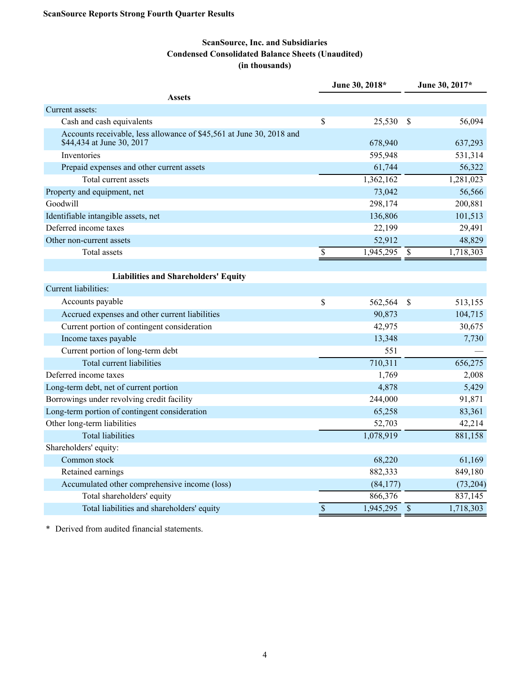# **ScanSource, Inc. and Subsidiaries Condensed Consolidated Balance Sheets (Unaudited) (in thousands)**

|                                                                                                   | June 30, 2018*  |           | June 30, 2017*           |           |  |  |
|---------------------------------------------------------------------------------------------------|-----------------|-----------|--------------------------|-----------|--|--|
| <b>Assets</b>                                                                                     |                 |           |                          |           |  |  |
| Current assets:                                                                                   |                 |           |                          |           |  |  |
| Cash and cash equivalents                                                                         | \$              | 25,530    | $\mathbf S$              | 56,094    |  |  |
| Accounts receivable, less allowance of \$45,561 at June 30, 2018 and<br>\$44,434 at June 30, 2017 |                 | 678,940   |                          | 637,293   |  |  |
| Inventories                                                                                       |                 | 595,948   |                          | 531,314   |  |  |
| Prepaid expenses and other current assets                                                         |                 | 61,744    |                          | 56,322    |  |  |
| Total current assets                                                                              |                 | 1,362,162 |                          | 1,281,023 |  |  |
| Property and equipment, net                                                                       |                 | 73,042    |                          | 56,566    |  |  |
| Goodwill                                                                                          |                 | 298,174   |                          | 200,881   |  |  |
| Identifiable intangible assets, net                                                               |                 | 136,806   |                          | 101,513   |  |  |
| Deferred income taxes                                                                             |                 | 22,199    |                          | 29,491    |  |  |
| Other non-current assets                                                                          |                 | 52,912    |                          | 48,829    |  |  |
| <b>Total</b> assets                                                                               | $\overline{\$}$ | 1,945,295 | $\overline{\mathcal{S}}$ | 1,718,303 |  |  |
|                                                                                                   |                 |           |                          |           |  |  |
| <b>Liabilities and Shareholders' Equity</b>                                                       |                 |           |                          |           |  |  |
| Current liabilities:                                                                              |                 |           |                          |           |  |  |
| Accounts payable                                                                                  | \$              | 562,564   | $\mathcal{S}$            | 513,155   |  |  |
| Accrued expenses and other current liabilities                                                    |                 | 90,873    |                          | 104,715   |  |  |
| Current portion of contingent consideration                                                       |                 | 42,975    |                          | 30,675    |  |  |
| Income taxes payable                                                                              |                 | 13,348    |                          | 7,730     |  |  |
| Current portion of long-term debt                                                                 |                 | 551       |                          |           |  |  |
| Total current liabilities                                                                         |                 | 710,311   |                          | 656,275   |  |  |
| Deferred income taxes                                                                             |                 | 1,769     |                          | 2,008     |  |  |
| Long-term debt, net of current portion                                                            |                 | 4,878     |                          | 5,429     |  |  |
| Borrowings under revolving credit facility                                                        |                 | 244,000   |                          | 91,871    |  |  |
| Long-term portion of contingent consideration                                                     |                 | 65,258    |                          | 83,361    |  |  |
| Other long-term liabilities                                                                       |                 | 52,703    |                          | 42,214    |  |  |
| <b>Total liabilities</b>                                                                          |                 | 1,078,919 |                          | 881,158   |  |  |
| Shareholders' equity:                                                                             |                 |           |                          |           |  |  |
| Common stock                                                                                      |                 | 68,220    |                          | 61,169    |  |  |
| Retained earnings                                                                                 |                 | 882,333   |                          | 849,180   |  |  |
| Accumulated other comprehensive income (loss)                                                     |                 | (84,177)  |                          | (73,204)  |  |  |
| Total shareholders' equity                                                                        |                 | 866,376   |                          | 837,145   |  |  |
| Total liabilities and shareholders' equity                                                        | $\mathsf{\$}$   | 1,945,295 | $\overline{\mathcal{S}}$ | 1,718,303 |  |  |

\* Derived from audited financial statements.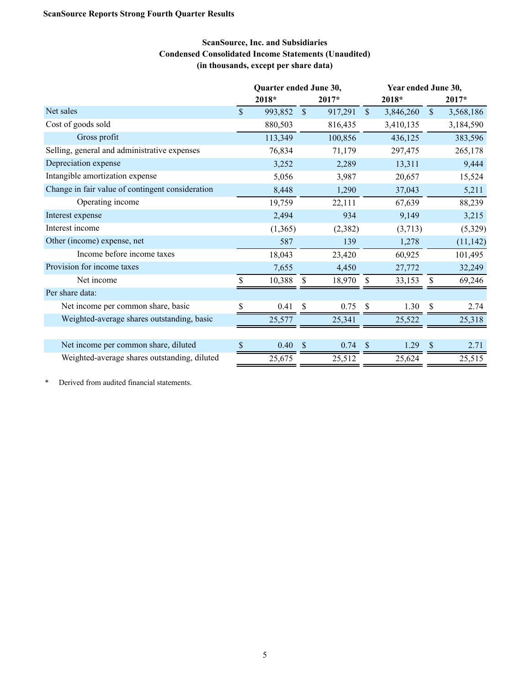# **ScanSource, Inc. and Subsidiaries Condensed Consolidated Income Statements (Unaudited) (in thousands, except per share data)**

|                    | 2018*   |               | 2017*   |                        | 2018*     |             | 2017*               |  |
|--------------------|---------|---------------|---------|------------------------|-----------|-------------|---------------------|--|
| $\mathbf{\hat{S}}$ | 993,852 | $\mathbb{S}$  | 917,291 | $\mathsf{\$}$          | 3,846,260 | $\mathbf S$ | 3,568,186           |  |
|                    | 880,503 |               | 816,435 |                        | 3,410,135 |             | 3,184,590           |  |
|                    | 113,349 |               | 100,856 |                        | 436,125   |             | 383,596             |  |
|                    | 76,834  |               | 71,179  |                        | 297,475   |             | 265,178             |  |
|                    | 3,252   |               | 2,289   |                        | 13,311    |             | 9,444               |  |
|                    | 5,056   |               | 3,987   |                        | 20,657    |             | 15,524              |  |
|                    | 8,448   |               | 1,290   |                        | 37,043    |             | 5,211               |  |
|                    | 19,759  |               | 22,111  |                        | 67,639    |             | 88,239              |  |
|                    | 2,494   |               | 934     |                        | 9,149     |             | 3,215               |  |
|                    | (1,365) |               | (2,382) |                        | (3,713)   |             | (5,329)             |  |
|                    | 587     |               | 139     |                        | 1,278     |             | (11, 142)           |  |
|                    | 18,043  |               | 23,420  |                        | 60,925    |             | 101,495             |  |
|                    | 7,655   |               | 4,450   |                        | 27,772    |             | 32,249              |  |
|                    | 10,388  | <sup>\$</sup> | 18,970  | S                      | 33,153    | \$          | 69,246              |  |
|                    |         |               |         |                        |           |             |                     |  |
|                    | 0.41    | \$            | 0.75    | \$                     | 1.30      | \$          | 2.74                |  |
|                    | 25,577  |               | 25,341  |                        | 25,522    |             | 25,318              |  |
|                    |         |               |         |                        |           |             |                     |  |
|                    | 0.40    | -S            | 0.74    | <sup>\$</sup>          | 1.29      | S           | 2.71                |  |
|                    | 25,675  |               | 25,512  |                        | 25,624    |             | 25,515              |  |
|                    |         |               |         | Quarter ended June 30, |           |             | Year ended June 30, |  |

\* Derived from audited financial statements.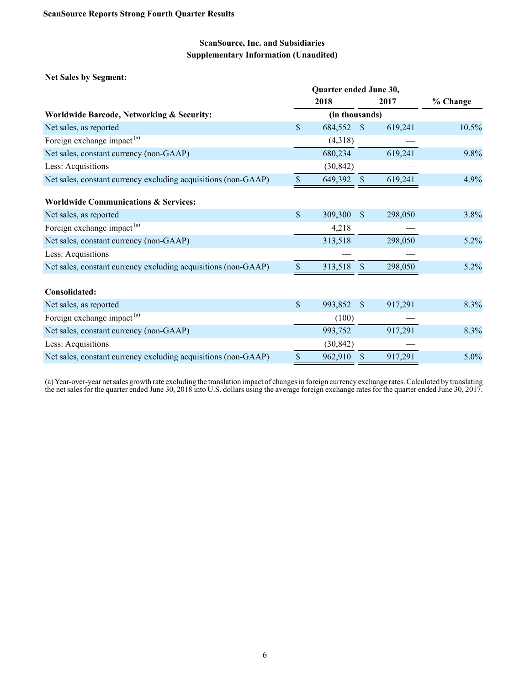**Net Sales by Segment:**

|                                                                |               | Quarter ended June 30, |               |         |          |
|----------------------------------------------------------------|---------------|------------------------|---------------|---------|----------|
|                                                                |               | 2018                   |               | 2017    | % Change |
| Worldwide Barcode, Networking & Security:                      |               | (in thousands)         |               |         |          |
| Net sales, as reported                                         | \$            | 684,552                | $\mathbf{\$}$ | 619,241 | 10.5%    |
| Foreign exchange impact <sup>(a)</sup>                         |               | (4,318)                |               |         |          |
| Net sales, constant currency (non-GAAP)                        |               | 680,234                |               | 619,241 | 9.8%     |
| Less: Acquisitions                                             |               | (30, 842)              |               |         |          |
| Net sales, constant currency excluding acquisitions (non-GAAP) | \$            | 649,392                | $\mathcal{S}$ | 619,241 | 4.9%     |
| <b>Worldwide Communications &amp; Services:</b>                |               |                        |               |         |          |
| Net sales, as reported                                         | $\mathsf{\$}$ | 309,300                | $\mathbb{S}$  | 298,050 | 3.8%     |
| Foreign exchange impact <sup>(a)</sup>                         |               | 4,218                  |               |         |          |
| Net sales, constant currency (non-GAAP)                        |               | 313,518                |               | 298,050 | 5.2%     |
| Less: Acquisitions                                             |               |                        |               |         |          |
| Net sales, constant currency excluding acquisitions (non-GAAP) |               | 313,518                | \$            | 298,050 | 5.2%     |
| Consolidated:                                                  |               |                        |               |         |          |
| Net sales, as reported                                         | $\mathsf{\$}$ | 993,852                | <sup>\$</sup> | 917,291 | 8.3%     |
| Foreign exchange impact <sup>(a)</sup>                         |               | (100)                  |               |         |          |
| Net sales, constant currency (non-GAAP)                        |               | 993,752                |               | 917,291 | 8.3%     |
| Less: Acquisitions                                             |               | (30, 842)              |               |         |          |
| Net sales, constant currency excluding acquisitions (non-GAAP) | \$            | 962,910                | \$            | 917,291 | 5.0%     |

(a) Year-over-year net sales growth rate excluding the translation impact of changes in foreign currency exchange rates. Calculated by translating the net sales for the quarter ended June 30, 2018 into U.S. dollars using the average foreign exchange rates for the quarter ended June 30, 2017.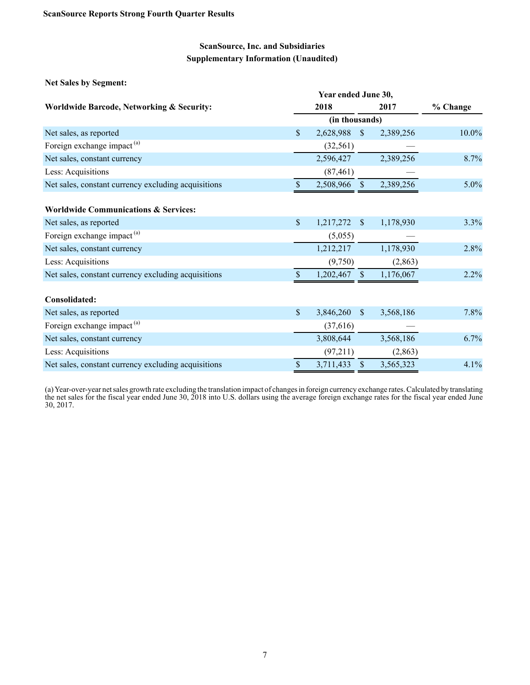| <b>Net Sales by Segment:</b>                        |               |                     |                    |           |          |  |  |
|-----------------------------------------------------|---------------|---------------------|--------------------|-----------|----------|--|--|
|                                                     |               | Year ended June 30, |                    |           |          |  |  |
| Worldwide Barcode, Networking & Security:           |               | 2018                |                    | 2017      | % Change |  |  |
|                                                     |               | (in thousands)      |                    |           |          |  |  |
| Net sales, as reported                              | \$            | 2,628,988           | $\mathbb{S}$       | 2,389,256 | 10.0%    |  |  |
| Foreign exchange impact <sup>(a)</sup>              |               | (32, 561)           |                    |           |          |  |  |
| Net sales, constant currency                        |               | 2,596,427           |                    | 2,389,256 | 8.7%     |  |  |
| Less: Acquisitions                                  |               | (87, 461)           |                    |           |          |  |  |
| Net sales, constant currency excluding acquisitions |               | 2,508,966           | $\mathbf{\hat{S}}$ | 2,389,256 | $5.0\%$  |  |  |
| <b>Worldwide Communications &amp; Services:</b>     |               |                     |                    |           |          |  |  |
| Net sales, as reported                              | $\mathbb{S}$  | 1,217,272           | $\mathbb{S}$       | 1,178,930 | 3.3%     |  |  |
| Foreign exchange impact <sup>(a)</sup>              |               | (5,055)             |                    |           |          |  |  |
| Net sales, constant currency                        |               | 1,212,217           |                    | 1,178,930 | 2.8%     |  |  |
| Less: Acquisitions                                  |               | (9,750)             |                    | (2,863)   |          |  |  |
| Net sales, constant currency excluding acquisitions |               | 1,202,467           | \$                 | 1,176,067 | 2.2%     |  |  |
| Consolidated:                                       |               |                     |                    |           |          |  |  |
| Net sales, as reported                              | $\mathsf{\$}$ | 3,846,260           | $\mathcal{S}$      | 3,568,186 | 7.8%     |  |  |
| Foreign exchange impact <sup>(a)</sup>              |               | (37, 616)           |                    |           |          |  |  |
| Net sales, constant currency                        |               | 3,808,644           |                    | 3,568,186 | 6.7%     |  |  |
| Less: Acquisitions                                  |               | (97,211)            |                    | (2,863)   |          |  |  |
| Net sales, constant currency excluding acquisitions | \$            | 3,711,433           | $\mathcal{S}$      | 3,565,323 | 4.1%     |  |  |

(a) Year-over-year net sales growth rate excluding the translation impact of changes in foreign currency exchange rates. Calculated by translating the net sales for the fiscal year ended June 30, 2018 into U.S. dollars using the average foreign exchange rates for the fiscal year ended June 30, 2017.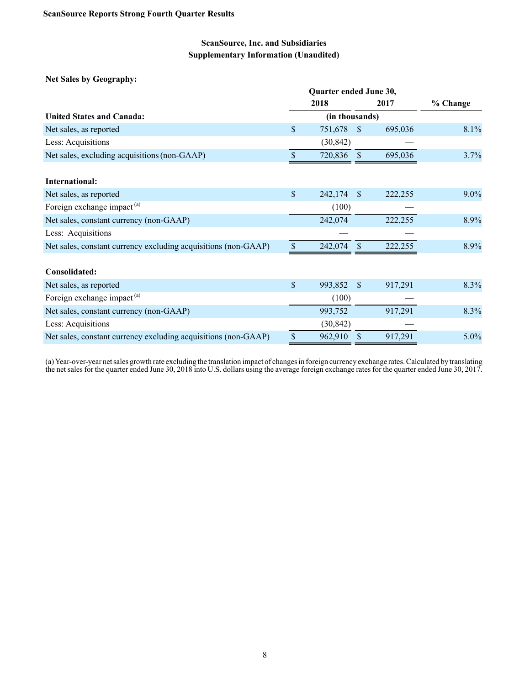**Net Sales by Geography:**

|                                                                | Quarter ended June 30, |               |         |          |
|----------------------------------------------------------------|------------------------|---------------|---------|----------|
|                                                                | 2018                   |               | 2017    | % Change |
| <b>United States and Canada:</b>                               | (in thousands)         |               |         |          |
| Net sales, as reported                                         | \$<br>751,678          | <sup>S</sup>  | 695,036 | 8.1%     |
| Less: Acquisitions                                             | (30, 842)              |               |         |          |
| Net sales, excluding acquisitions (non-GAAP)                   | \$<br>720,836          | $\mathcal{S}$ | 695,036 | 3.7%     |
| International:                                                 |                        |               |         |          |
| Net sales, as reported                                         | \$<br>242,174          | <sup>S</sup>  | 222,255 | 9.0%     |
| Foreign exchange impact <sup>(a)</sup>                         | (100)                  |               |         |          |
| Net sales, constant currency (non-GAAP)                        | 242,074                |               | 222,255 | 8.9%     |
| Less: Acquisitions                                             |                        |               |         |          |
| Net sales, constant currency excluding acquisitions (non-GAAP) | \$<br>242,074          | <sup>\$</sup> | 222,255 | 8.9%     |
| Consolidated:                                                  |                        |               |         |          |
| Net sales, as reported                                         | \$<br>993,852          | <sup>S</sup>  | 917,291 | 8.3%     |
| Foreign exchange impact <sup>(a)</sup>                         | (100)                  |               |         |          |
| Net sales, constant currency (non-GAAP)                        | 993,752                |               | 917,291 | 8.3%     |
| Less: Acquisitions                                             | (30, 842)              |               |         |          |
| Net sales, constant currency excluding acquisitions (non-GAAP) | \$<br>962,910          | $\mathbf{\$}$ | 917,291 | 5.0%     |

(a) Year-over-year net sales growth rate excluding the translation impact of changes in foreign currency exchange rates. Calculated by translating the net sales for the quarter ended June 30, 2018 into U.S. dollars using the average foreign exchange rates for the quarter ended June 30, 2017.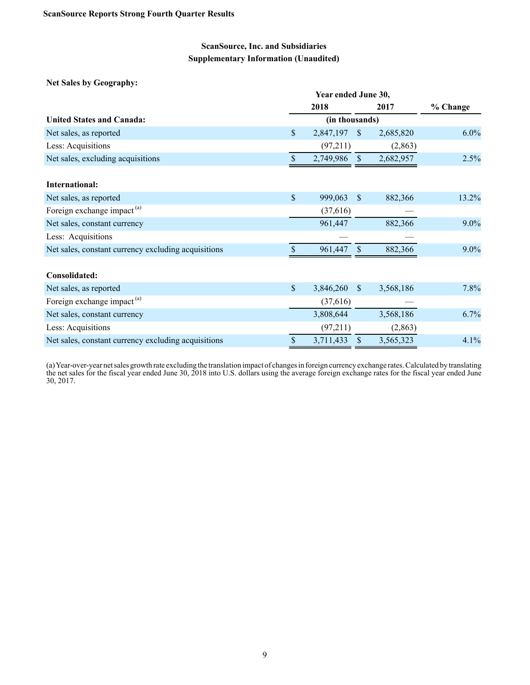**Net Sales by Geography:**

|                                                     |     | 2018           |               | 2017      | % Change |  |  |  |
|-----------------------------------------------------|-----|----------------|---------------|-----------|----------|--|--|--|
| <b>United States and Canada:</b>                    |     | (in thousands) |               |           |          |  |  |  |
| Net sales, as reported                              | \$  | 2,847,197      | $\mathcal{S}$ | 2,685,820 | 6.0%     |  |  |  |
| Less: Acquisitions                                  |     | (97, 211)      |               | (2, 863)  |          |  |  |  |
| Net sales, excluding acquisitions                   | \$  | 2,749,986 \$   |               | 2,682,957 | 2.5%     |  |  |  |
| International:                                      |     |                |               |           |          |  |  |  |
| Net sales, as reported                              | \$  | 999,063        | <sup>S</sup>  | 882,366   | 13.2%    |  |  |  |
| Foreign exchange impact <sup>(a)</sup>              |     | (37, 616)      |               |           |          |  |  |  |
| Net sales, constant currency                        |     | 961,447        |               | 882,366   | $9.0\%$  |  |  |  |
| Less: Acquisitions                                  |     |                |               |           |          |  |  |  |
| Net sales, constant currency excluding acquisitions | \$. | 961,447        | <sup>\$</sup> | 882,366   | $9.0\%$  |  |  |  |
| Consolidated:                                       |     |                |               |           |          |  |  |  |
| Net sales, as reported                              | \$  | 3,846,260      | <sup>\$</sup> | 3,568,186 | 7.8%     |  |  |  |
| Foreign exchange impact <sup>(a)</sup>              |     | (37,616)       |               |           |          |  |  |  |
| Net sales, constant currency                        |     | 3,808,644      |               | 3,568,186 | 6.7%     |  |  |  |
| Less: Acquisitions                                  |     | (97,211)       |               | (2,863)   |          |  |  |  |
| Net sales, constant currency excluding acquisitions | \$  | 3,711,433      | $\mathcal{S}$ | 3,565,323 | 4.1%     |  |  |  |

(a) Year-over-year net sales growth rate excluding the translation impact of changes in foreign currency exchange rates. Calculated by translating the net sales for the fiscal year ended June 30, 2018 into U.S. dollars using the average foreign exchange rates for the fiscal year ended June 30, 2017.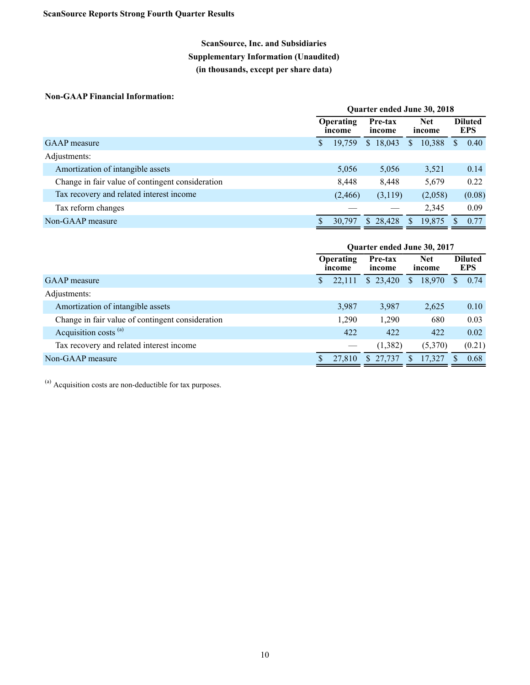# **ScanSource, Inc. and Subsidiaries Supplementary Information (Unaudited) (in thousands, except per share data)**

## **Non-GAAP Financial Information:**

|                                                  | Quarter ended June 30, 2018              |          |                      |          |    |                              |   |        |
|--------------------------------------------------|------------------------------------------|----------|----------------------|----------|----|------------------------------|---|--------|
|                                                  | Operating<br>Pre-tax<br>income<br>income |          | <b>Net</b><br>income |          |    | <b>Diluted</b><br><b>EPS</b> |   |        |
| GAAP measure                                     |                                          | 19.759   |                      | \$18,043 | \$ | 10,388                       | S | 0.40   |
| Adjustments:                                     |                                          |          |                      |          |    |                              |   |        |
| Amortization of intangible assets                |                                          | 5,056    |                      | 5,056    |    | 3,521                        |   | 0.14   |
| Change in fair value of contingent consideration |                                          | 8,448    |                      | 8,448    |    | 5,679                        |   | 0.22   |
| Tax recovery and related interest income         |                                          | (2, 466) |                      | (3,119)  |    | (2,058)                      |   | (0.08) |
| Tax reform changes                               |                                          |          |                      |          |    | 2,345                        |   | 0.09   |
| Non-GAAP measure                                 |                                          | 30.797   |                      | \$28,428 | \$ | 19.875                       |   | 0.77   |

|                                                  | Quarter ended June 30, 2017              |        |                      |          |              |                              |     |        |
|--------------------------------------------------|------------------------------------------|--------|----------------------|----------|--------------|------------------------------|-----|--------|
|                                                  | Operating<br>Pre-tax<br>income<br>income |        | <b>Net</b><br>income |          |              | <b>Diluted</b><br><b>EPS</b> |     |        |
| GAAP measure                                     |                                          | 22.111 |                      | \$23,420 | <sup>S</sup> | 18,970                       | \$. | 0.74   |
| Adjustments:                                     |                                          |        |                      |          |              |                              |     |        |
| Amortization of intangible assets                |                                          | 3,987  |                      | 3,987    |              | 2.625                        |     | 0.10   |
| Change in fair value of contingent consideration |                                          | 1,290  |                      | 1,290    |              | 680                          |     | 0.03   |
| Acquisition costs <sup>(a)</sup>                 |                                          | 422    |                      | 422      |              | 422                          |     | 0.02   |
| Tax recovery and related interest income         |                                          |        |                      | (1,382)  |              | (5,370)                      |     | (0.21) |
| Non-GAAP measure                                 |                                          | 27,810 |                      | \$27,737 |              | 17,327                       |     | 0.68   |

(a) Acquisition costs are non-deductible for tax purposes.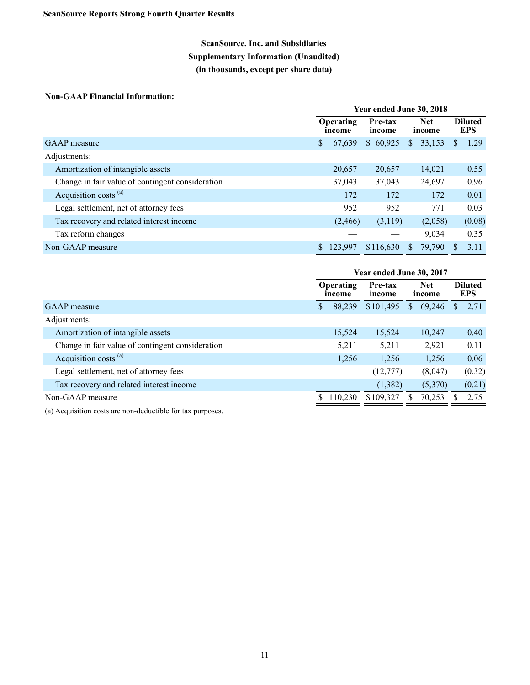# **ScanSource, Inc. and Subsidiaries Supplementary Information (Unaudited) (in thousands, except per share data)**

## **Non-GAAP Financial Information:**

|                                                  | Year ended June 30, 2018 |                   |                      |                              |  |  |  |  |
|--------------------------------------------------|--------------------------|-------------------|----------------------|------------------------------|--|--|--|--|
|                                                  | Operating<br>income      | Pre-tax<br>income | <b>Net</b><br>income | <b>Diluted</b><br><b>EPS</b> |  |  |  |  |
| GAAP measure                                     | 67,639                   | \$60,925          | 33,153<br>S.         | 1.29<br>S.                   |  |  |  |  |
| Adjustments:                                     |                          |                   |                      |                              |  |  |  |  |
| Amortization of intangible assets                | 20,657                   | 20,657            | 14,021               | 0.55                         |  |  |  |  |
| Change in fair value of contingent consideration | 37,043                   | 37,043            | 24,697               | 0.96                         |  |  |  |  |
| Acquisition costs <sup>(a)</sup>                 | 172                      | 172               | 172                  | 0.01                         |  |  |  |  |
| Legal settlement, net of attorney fees           | 952                      | 952               | 771                  | 0.03                         |  |  |  |  |
| Tax recovery and related interest income         | (2, 466)                 | (3,119)           | (2,058)              | (0.08)                       |  |  |  |  |
| Tax reform changes                               |                          |                   | 9.034                | 0.35                         |  |  |  |  |
| Non-GAAP measure                                 | 123,997                  | \$116,630         | 79,790<br>S.         | 3.11                         |  |  |  |  |

|                                                  | Operating<br>Pre-tax<br>income<br>income<br>\$101.495<br>S |         | <b>Net</b><br>income |    |         | <b>Diluted</b><br><b>EPS</b> |        |
|--------------------------------------------------|------------------------------------------------------------|---------|----------------------|----|---------|------------------------------|--------|
| GAAP measure                                     |                                                            | 88,239  |                      | S. | 69,246  | <sup>S</sup>                 | 2.71   |
| Adjustments:                                     |                                                            |         |                      |    |         |                              |        |
| Amortization of intangible assets                |                                                            | 15,524  | 15,524               |    | 10,247  |                              | 0.40   |
| Change in fair value of contingent consideration |                                                            | 5,211   | 5,211                |    | 2,921   |                              | 0.11   |
| Acquisition costs <sup>(a)</sup>                 |                                                            | 1,256   | 1,256                |    | 1,256   |                              | 0.06   |
| Legal settlement, net of attorney fees           |                                                            |         | (12, 777)            |    | (8,047) |                              | (0.32) |
| Tax recovery and related interest income         |                                                            |         | (1, 382)             |    | (5,370) |                              | (0.21) |
| Non-GAAP measure                                 |                                                            | 110.230 | \$109,327            | S  | 70,253  |                              | 2.75   |
|                                                  |                                                            |         |                      |    |         |                              |        |

(a) Acquisition costs are non-deductible for tax purposes.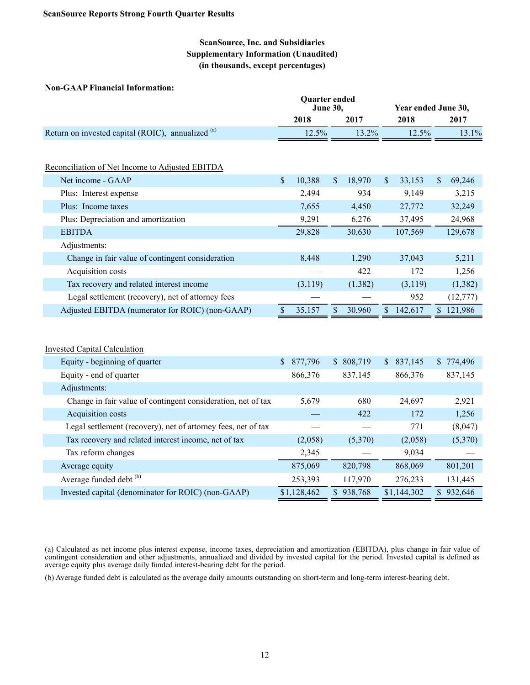## **ScanSource, Inc. and Subsidiaries Supplementary Information (Unaudited) (in thousands, except percentages)**

#### **Non-GAAP Financial Information:**

|                                                               | <b>Quarter ended</b><br>June 30, |         |                           |           |              | Year ended June 30, |    |           |  |
|---------------------------------------------------------------|----------------------------------|---------|---------------------------|-----------|--------------|---------------------|----|-----------|--|
|                                                               |                                  | 2018    |                           | 2017      |              | 2018                |    | 2017      |  |
| Return on invested capital (ROIC), annualized (a)             |                                  | 12.5%   |                           | 13.2%     |              | 12.5%               |    | 13.1%     |  |
|                                                               |                                  |         |                           |           |              |                     |    |           |  |
| Reconciliation of Net Income to Adjusted EBITDA               |                                  |         |                           |           |              |                     |    |           |  |
| Net income - GAAP                                             | \$                               | 10,388  | $\mathbb{S}$              | 18,970    | $\mathbb{S}$ | 33,153              | \$ | 69,246    |  |
| Plus: Interest expense                                        |                                  | 2,494   |                           | 934       |              | 9,149               |    | 3,215     |  |
| Plus: Income taxes                                            |                                  | 7,655   |                           | 4,450     |              | 27,772              |    | 32,249    |  |
| Plus: Depreciation and amortization                           |                                  | 9,291   |                           | 6,276     |              | 37,495              |    | 24,968    |  |
| <b>EBITDA</b>                                                 |                                  | 29,828  |                           | 30,630    |              | 107,569             |    | 129,678   |  |
| Adjustments:                                                  |                                  |         |                           |           |              |                     |    |           |  |
| Change in fair value of contingent consideration              |                                  | 8,448   |                           | 1,290     |              | 37,043              |    | 5,211     |  |
| Acquisition costs                                             |                                  |         |                           | 422       |              | 172                 |    | 1,256     |  |
| Tax recovery and related interest income                      |                                  | (3,119) |                           | (1, 382)  |              | (3,119)             |    | (1, 382)  |  |
| Legal settlement (recovery), net of attorney fees             |                                  |         |                           |           |              | 952                 |    | (12, 777) |  |
| Adjusted EBITDA (numerator for ROIC) (non-GAAP)               | $\mathcal{S}$                    | 35,157  | $\boldsymbol{\mathsf{S}}$ | 30,960    | \$           | 142,617             | \$ | 121,986   |  |
| <b>Invested Capital Calculation</b>                           |                                  |         |                           |           |              |                     |    |           |  |
| Equity - beginning of quarter                                 | S                                | 877,796 |                           | \$808,719 |              | \$837,145           |    | \$774,496 |  |
| Equity - end of quarter                                       |                                  | 866,376 |                           | 837,145   |              | 866,376             |    | 837,145   |  |
| Adjustments:                                                  |                                  |         |                           |           |              |                     |    |           |  |
| Change in fair value of contingent consideration, net of tax  |                                  | 5,679   |                           | 680       |              | 24,697              |    | 2,921     |  |
| Acquisition costs                                             |                                  |         |                           | 422       |              | 172                 |    | 1,256     |  |
| Legal settlement (recovery), net of attorney fees, net of tax |                                  |         |                           |           |              | 771                 |    | (8,047)   |  |
| Tax recovery and related interest income, net of tax          |                                  | (2,058) |                           | (5,370)   |              | (2,058)             |    | (5,370)   |  |

(a) Calculated as net income plus interest expense, income taxes, depreciation and amortization (EBITDA), plus change in fair value of contingent consideration and other adjustments, annualized and divided by invested capital for the period. Invested capital is defined as average equity plus average daily funded interest-bearing debt for the period.

Average equity **875,069** 820,798 868,069 801,201 Average funded debt <sup>(b)</sup> 253,393 117,970 276,233 131,445 Invested capital (denominator for ROIC) (non-GAAP) \$1,128,462 \$ 938,768 \$1,144,302 \$ 932,646

(b) Average funded debt is calculated as the average daily amounts outstanding on short-term and long-term interest-bearing debt.

Tax reform changes  $2,345$   $9,034$